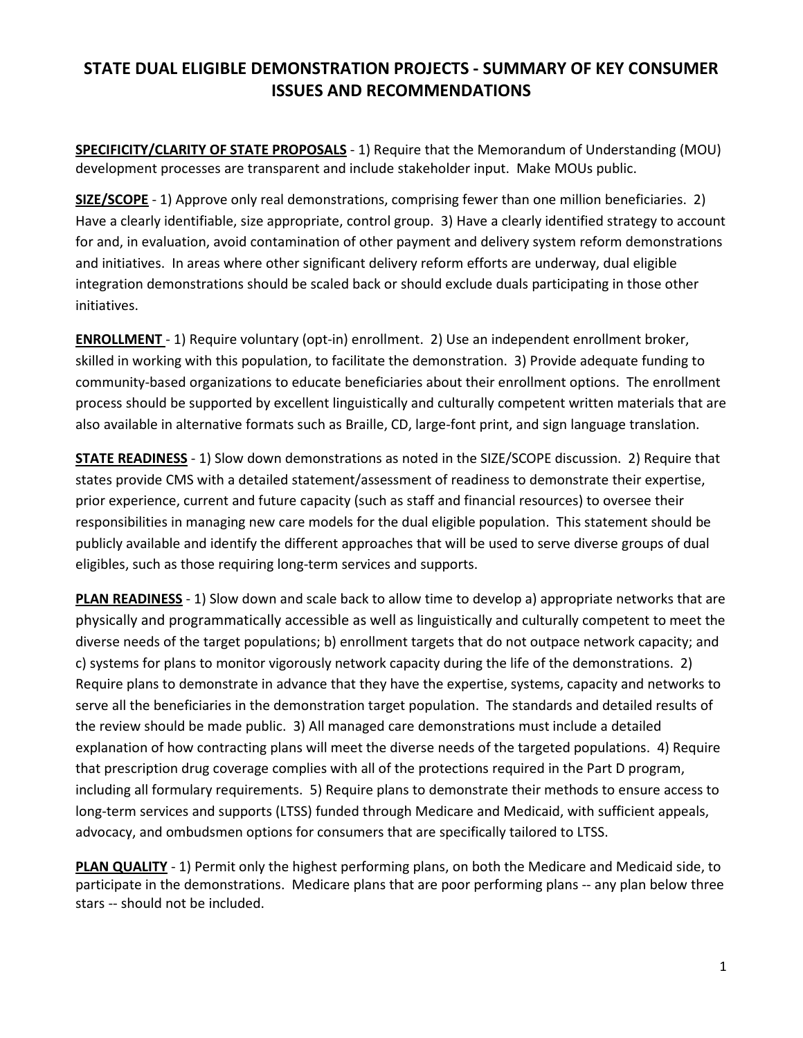## STATE DUAL ELIGIBLE DEMONSTRATION PROJECTS - SUMMARY OF KEY CONSUMER ISSUES AND RECOMMENDATIONS

SPECIFICITY/CLARITY OF STATE PROPOSALS - 1) Require that the Memorandum of Understanding (MOU) development processes are transparent and include stakeholder input. Make MOUs public.

SIZE/SCOPE - 1) Approve only real demonstrations, comprising fewer than one million beneficiaries. 2) Have a clearly identifiable, size appropriate, control group. 3) Have a clearly identified strategy to account for and, in evaluation, avoid contamination of other payment and delivery system reform demonstrations and initiatives. In areas where other significant delivery reform efforts are underway, dual eligible integration demonstrations should be scaled back or should exclude duals participating in those other initiatives.

ENROLLMENT - 1) Require voluntary (opt-in) enrollment. 2) Use an independent enrollment broker, skilled in working with this population, to facilitate the demonstration. 3) Provide adequate funding to community-based organizations to educate beneficiaries about their enrollment options. The enrollment process should be supported by excellent linguistically and culturally competent written materials that are also available in alternative formats such as Braille, CD, large-font print, and sign language translation.

STATE READINESS - 1) Slow down demonstrations as noted in the SIZE/SCOPE discussion. 2) Require that states provide CMS with a detailed statement/assessment of readiness to demonstrate their expertise, prior experience, current and future capacity (such as staff and financial resources) to oversee their responsibilities in managing new care models for the dual eligible population. This statement should be publicly available and identify the different approaches that will be used to serve diverse groups of dual eligibles, such as those requiring long-term services and supports.

**PLAN READINESS** - 1) Slow down and scale back to allow time to develop a) appropriate networks that are physically and programmatically accessible as well as linguistically and culturally competent to meet the diverse needs of the target populations; b) enrollment targets that do not outpace network capacity; and c) systems for plans to monitor vigorously network capacity during the life of the demonstrations. 2) Require plans to demonstrate in advance that they have the expertise, systems, capacity and networks to serve all the beneficiaries in the demonstration target population. The standards and detailed results of the review should be made public. 3) All managed care demonstrations must include a detailed explanation of how contracting plans will meet the diverse needs of the targeted populations. 4) Require that prescription drug coverage complies with all of the protections required in the Part D program, including all formulary requirements. 5) Require plans to demonstrate their methods to ensure access to long-term services and supports (LTSS) funded through Medicare and Medicaid, with sufficient appeals, advocacy, and ombudsmen options for consumers that are specifically tailored to LTSS.

PLAN QUALITY - 1) Permit only the highest performing plans, on both the Medicare and Medicaid side, to participate in the demonstrations. Medicare plans that are poor performing plans -- any plan below three stars -- should not be included.